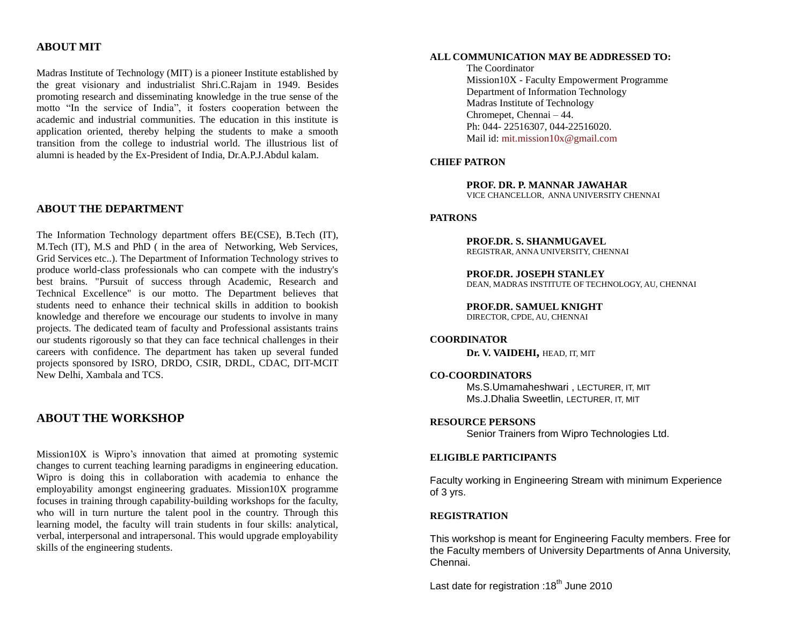#### **ABOUT MIT**

Madras Institute of Technology (MIT) is a pioneer Institute established by the great visionary and industrialist Shri.C.Rajam in 1949. Besides promoting research and disseminating knowledge in the true sense of the motto "In the service of India", it fosters cooperation between the academic and industrial communities. The education in this institute is application oriented, thereby helping the students to make a smooth transition from the college to industrial world. The illustrious list of alumni is headed by the Ex-President of India, Dr.A.P.J.Abdul kalam.

#### **ABOUT THE DEPARTMENT**

The Information Technology department offers BE(CSE), B.Tech (IT), M.Tech (IT), M.S and PhD ( in the area of Networking, Web Services, Grid Services etc..). The Department of Information Technology strives to produce world-class professionals who can compete with the industry's best brains. "Pursuit of success through Academic, Research and Technical Excellence" is our motto. The Department believes that students need to enhance their technical skills in addition to bookish knowledge and therefore we encourage our students to involve in many projects. The dedicated team of faculty and Professional assistants trains our students rigorously so that they can face technical challenges in their careers with confidence. The department has taken up several funded projects sponsored by ISRO, DRDO, CSIR, DRDL, CDAC, DIT-MCIT New Delhi, Xambala and TCS.

### **ABOUT THE WORKSHOP**

Mission10X is Wipro's innovation that aimed at promoting systemic changes to current teaching learning paradigms in engineering education. Wipro is doing this in collaboration with academia to enhance the employability amongst engineering graduates. Mission10X programme focuses in training through capability-building workshops for the faculty, who will in turn nurture the talent pool in the country. Through this learning model, the faculty will train students in four skills: analytical, verbal, interpersonal and intrapersonal. This would upgrade employability skills of the engineering students.

#### **ALL COMMUNICATION MAY BE ADDRESSED TO:**

The Coordinator Mission10X - Faculty Empowerment Programme Department of Information Technology Madras Institute of Technology Chromepet, Chennai – 44. Ph: 044- 22516307, 044-22516020. Mail id: [mit.mission10x@gmail.com](mailto:mit.mission10x@gmail.com)

#### **CHIEF PATRON**

**PROF. DR. P. MANNAR JAWAHAR** VICE CHANCELLOR, ANNA UNIVERSITY CHENNAI

#### **PATRONS**

**PROF.DR. S. SHANMUGAVEL** REGISTRAR, ANNA UNIVERSITY, CHENNAI

**PROF.DR. JOSEPH STANLEY** DEAN, MADRAS INSTITUTE OF TECHNOLOGY, AU, CHENNAI

**PROF.DR. SAMUEL KNIGHT** DIRECTOR, CPDE, AU, CHENNAI

#### **COORDINATOR**

 **Dr. V. VAIDEHI,** HEAD, IT, MIT

#### **CO-COORDINATORS**

Ms.S.Umamaheshwari , LECTURER, IT, MIT Ms.J.Dhalia Sweetlin, LECTURER, IT, MIT

#### **RESOURCE PERSONS**

Senior Trainers from Wipro Technologies Ltd.

#### **ELIGIBLE PARTICIPANTS**

Faculty working in Engineering Stream with minimum Experience of 3 yrs.

#### **REGISTRATION**

This workshop is meant for Engineering Faculty members. Free for the Faculty members of University Departments of Anna University, Chennai.

Last date for registration :  $18<sup>th</sup>$  June 2010